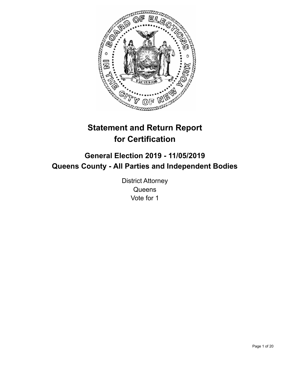

# **Statement and Return Report for Certification**

## **General Election 2019 - 11/05/2019 Queens County - All Parties and Independent Bodies**

District Attorney **Queens** Vote for 1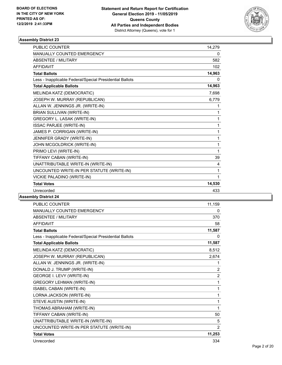

| <b>PUBLIC COUNTER</b>                                    | 14.279 |
|----------------------------------------------------------|--------|
| MANUALLY COUNTED EMERGENCY                               | 0      |
| <b>ABSENTEE / MILITARY</b>                               | 582    |
| <b>AFFIDAVIT</b>                                         | 102    |
| <b>Total Ballots</b>                                     | 14,963 |
| Less - Inapplicable Federal/Special Presidential Ballots | 0      |
| <b>Total Applicable Ballots</b>                          | 14,963 |
| MELINDA KATZ (DEMOCRATIC)                                | 7,698  |
| JOSEPH W. MURRAY (REPUBLICAN)                            | 6,779  |
| ALLAN W. JENNINGS JR. (WRITE-IN)                         | 1      |
| BRIAN SULLIVAN (WRITE-IN)                                | 1      |
| GREGORY L. LASAK (WRITE-IN)                              | 1      |
| <b>ISSAC PARJEE (WRITE-IN)</b>                           | 1      |
| JAMES P. CORRIGAN (WRITE-IN)                             | 1      |
| JENNIFER GRADY (WRITE-IN)                                | 1      |
| JOHN MCGOLDRICK (WRITE-IN)                               | 1      |
| PRIMO LEVI (WRITE-IN)                                    | 1      |
| TIFFANY CABAN (WRITE-IN)                                 | 39     |
| UNATTRIBUTABLE WRITE-IN (WRITE-IN)                       | 4      |
| UNCOUNTED WRITE-IN PER STATUTE (WRITE-IN)                | 1      |
| VICKIE PALADINO (WRITE-IN)                               | 1      |
| <b>Total Votes</b>                                       | 14,530 |
| Unrecorded                                               | 433    |

| <b>PUBLIC COUNTER</b>                                    | 11,159         |
|----------------------------------------------------------|----------------|
| MANUALLY COUNTED EMERGENCY                               | 0              |
| <b>ABSENTEE / MILITARY</b>                               | 370            |
| <b>AFFIDAVIT</b>                                         | 58             |
| <b>Total Ballots</b>                                     | 11,587         |
| Less - Inapplicable Federal/Special Presidential Ballots | 0              |
| <b>Total Applicable Ballots</b>                          | 11,587         |
| MELINDA KATZ (DEMOCRATIC)                                | 8,512          |
| JOSEPH W. MURRAY (REPUBLICAN)                            | 2,674          |
| ALLAN W. JENNINGS JR. (WRITE-IN)                         | 1              |
| DONALD J. TRUMP (WRITE-IN)                               | $\overline{c}$ |
| GEORGE I. LEVY (WRITE-IN)                                | $\overline{c}$ |
| <b>GREGORY LEHMAN (WRITE-IN)</b>                         | 1              |
| ISABEL CABAN (WRITE-IN)                                  | 1              |
| LORNA JACKSON (WRITE-IN)                                 | 1              |
| STEVE AUSTIN (WRITE-IN)                                  | 1              |
| THOMAS ABRAHAM (WRITE-IN)                                | 1              |
| TIFFANY CABAN (WRITE-IN)                                 | 50             |
| UNATTRIBUTABLE WRITE-IN (WRITE-IN)                       | 5              |
| UNCOUNTED WRITE-IN PER STATUTE (WRITE-IN)                | $\overline{2}$ |
| <b>Total Votes</b>                                       | 11,253         |
| Unrecorded                                               | 334            |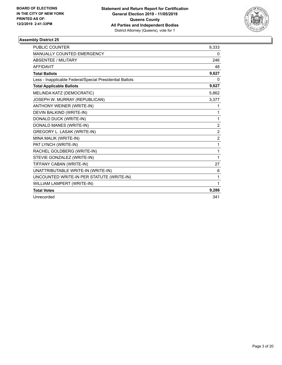

| PUBLIC COUNTER                                           | 9,333          |
|----------------------------------------------------------|----------------|
| MANUALLY COUNTED EMERGENCY                               | 0              |
| <b>ABSENTEE / MILITARY</b>                               | 246            |
| <b>AFFIDAVIT</b>                                         | 48             |
| <b>Total Ballots</b>                                     | 9,627          |
| Less - Inapplicable Federal/Special Presidential Ballots | 0              |
| <b>Total Applicable Ballots</b>                          | 9,627          |
| MELINDA KATZ (DEMOCRATIC)                                | 5.862          |
| JOSEPH W. MURRAY (REPUBLICAN)                            | 3,377          |
| <b>ANTHONY WEINER (WRITE-IN)</b>                         | 1              |
| DEVIN BALKIND (WRITE-IN)                                 | 1              |
| DONALD DUCK (WRITE-IN)                                   | 1              |
| DONALD MANES (WRITE-IN)                                  | $\overline{2}$ |
| GREGORY L. LASAK (WRITE-IN)                              | $\overline{c}$ |
| MINA MALIK (WRITE-IN)                                    | $\overline{2}$ |
| PAT LYNCH (WRITE-IN)                                     | 1              |
| RACHEL GOLDBERG (WRITE-IN)                               | 1              |
| STEVIE GONZALEZ (WRITE-IN)                               | 1              |
| TIFFANY CABAN (WRITE-IN)                                 | 27             |
| UNATTRIBUTABLE WRITE-IN (WRITE-IN)                       | 6              |
| UNCOUNTED WRITE-IN PER STATUTE (WRITE-IN)                | 1              |
| WILLIAM LAMPERT (WRITE-IN)                               | 1              |
| <b>Total Votes</b>                                       | 9,286          |
| Unrecorded                                               | 341            |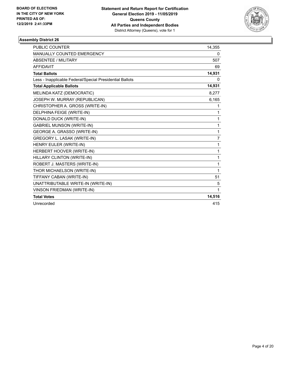

| <b>PUBLIC COUNTER</b>                                    | 14,355       |
|----------------------------------------------------------|--------------|
| <b>MANUALLY COUNTED EMERGENCY</b>                        | 0            |
| ABSENTEE / MILITARY                                      | 507          |
| <b>AFFIDAVIT</b>                                         | 69           |
| <b>Total Ballots</b>                                     | 14,931       |
| Less - Inapplicable Federal/Special Presidential Ballots | 0            |
| <b>Total Applicable Ballots</b>                          | 14,931       |
| MELINDA KATZ (DEMOCRATIC)                                | 8,277        |
| JOSEPH W. MURRAY (REPUBLICAN)                            | 6,165        |
| CHRISTOPHER A. GROSS (WRITE-IN)                          | 1            |
| DELPHINA FEIGE (WRITE-IN)                                | 1            |
| DONALD DUCK (WRITE-IN)                                   | 1            |
| <b>GABRIEL MUNSON (WRITE-IN)</b>                         | $\mathbf{1}$ |
| GEORGE A. GRASSO (WRITE-IN)                              | 1            |
| GREGORY L. LASAK (WRITE-IN)                              | 7            |
| HENRY EULER (WRITE-IN)                                   | 1            |
| HERBERT HOOVER (WRITE-IN)                                | $\mathbf{1}$ |
| HILLARY CLINTON (WRITE-IN)                               | 1            |
| ROBERT J. MASTERS (WRITE-IN)                             | 1            |
| THOR MICHAELSON (WRITE-IN)                               | 1            |
| TIFFANY CABAN (WRITE-IN)                                 | 51           |
| UNATTRIBUTABLE WRITE-IN (WRITE-IN)                       | 5            |
| <b>VINSON FRIEDMAN (WRITE-IN)</b>                        | 1            |
| <b>Total Votes</b>                                       | 14,516       |
| Unrecorded                                               | 415          |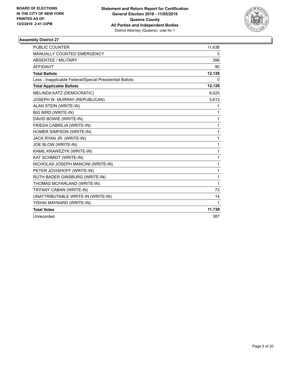

| <b>PUBLIC COUNTER</b>                                    | 11,638       |
|----------------------------------------------------------|--------------|
| MANUALLY COUNTED EMERGENCY                               | 0            |
| ABSENTEE / MILITARY                                      | 398          |
| <b>AFFIDAVIT</b>                                         | 90           |
| <b>Total Ballots</b>                                     | 12,126       |
| Less - Inapplicable Federal/Special Presidential Ballots | 0            |
| <b>Total Applicable Ballots</b>                          | 12,126       |
| MELINDA KATZ (DEMOCRATIC)                                | 8,025        |
| JOSEPH W. MURRAY (REPUBLICAN)                            | 3,613        |
| ALAN STEIN (WRITE-IN)                                    | 1            |
| <b>BIG BIRD (WRITE-IN)</b>                               | 1            |
| DAVID BOWIE (WRITE-IN)                                   | 1            |
| FRIEDA CABREJA (WRITE-IN)                                | 1            |
| HOMER SIMPSON (WRITE-IN)                                 | 1            |
| JACK RYAN JR. (WRITE-IN)                                 | 1            |
| JOE BLOW (WRITE-IN)                                      | $\mathbf{1}$ |
| KAMIL KRAWEZYK (WRITE-IN)                                | 1            |
| KAT SCHMIDT (WRITE-IN)                                   | $\mathbf{1}$ |
| NICHOLAS JOSEPH MANCINI (WRITE-IN)                       | 1            |
| PETER JOVISHOFF (WRITE-IN)                               | $\mathbf{1}$ |
| RUTH BADER GINSBURG (WRITE-IN)                           | $\mathbf{1}$ |
| THOMAS MCFARLAND (WRITE-IN)                              | $\mathbf{1}$ |
| TIFFANY CABAN (WRITE-IN)                                 | 73           |
| UNATTRIBUTABLE WRITE-IN (WRITE-IN)                       | 14           |
| YISHAI MAYNARD (WRITE-IN)                                | 1            |
| <b>Total Votes</b>                                       | 11,739       |
| Unrecorded                                               | 387          |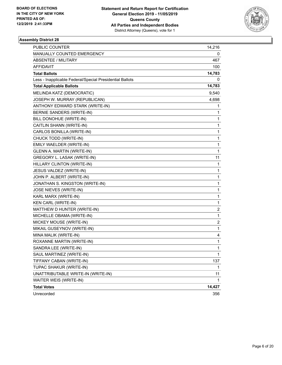

| PUBLIC COUNTER                                           | 14,216         |
|----------------------------------------------------------|----------------|
| MANUALLY COUNTED EMERGENCY                               | 0              |
| <b>ABSENTEE / MILITARY</b>                               | 467            |
| <b>AFFIDAVIT</b>                                         | 100            |
| <b>Total Ballots</b>                                     | 14,783         |
| Less - Inapplicable Federal/Special Presidential Ballots | 0              |
| <b>Total Applicable Ballots</b>                          | 14,783         |
| MELINDA KATZ (DEMOCRATIC)                                | 9,540          |
| JOSEPH W. MURRAY (REPUBLICAN)                            | 4,698          |
| ANTHONY EDWARD STARK (WRITE-IN)                          | 1              |
| BERNIE SANDERS (WRITE-IN)                                | 1              |
| BILL DONOHUE (WRITE-IN)                                  | 1              |
| CAITLIN SHANN (WRITE-IN)                                 | 1              |
| CARLOS BONILLA (WRITE-IN)                                | 1              |
| CHUCK TODD (WRITE-IN)                                    | 1              |
| EMILY WAELDER (WRITE-IN)                                 | 1              |
| GLENN A. MARTIN (WRITE-IN)                               | 1              |
| GREGORY L. LASAK (WRITE-IN)                              | 11             |
| HILLARY CLINTON (WRITE-IN)                               | 1              |
| JESUS VALDEZ (WRITE-IN)                                  | 1              |
| JOHN P. ALBERT (WRITE-IN)                                | 1              |
| JONATHAN S. KINGSTON (WRITE-IN)                          | 1              |
| JOSE NIEVES (WRITE-IN)                                   | 1              |
| KARL MARX (WRITE-IN)                                     | 1              |
| KEN CARL (WRITE-IN)                                      | 1              |
| MATTHEW D HUNTER (WRITE-IN)                              | 2              |
| MICHELLE OBAMA (WRITE-IN)                                | 1              |
| MICKEY MOUSE (WRITE-IN)                                  | $\overline{c}$ |
| MIKAIL GUSEYNOV (WRITE-IN)                               | 1              |
| MINA MALIK (WRITE-IN)                                    | 4              |
| ROXANNE MARTIN (WRITE-IN)                                | 1              |
| SANDRA LEE (WRITE-IN)                                    | 1              |
| SAUL MARTINEZ (WRITE-IN)                                 | 1              |
| TIFFANY CABAN (WRITE-IN)                                 | 137            |
| TUPAC SHAKUR (WRITE-IN)                                  | 1              |
| UNATTRIBUTABLE WRITE-IN (WRITE-IN)                       | 11             |
| WAITER WEIS (WRITE-IN)                                   | 1              |
| <b>Total Votes</b>                                       | 14,427         |
| Unrecorded                                               | 356            |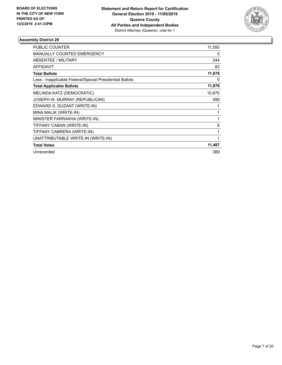

| <b>PUBLIC COUNTER</b>                                    | 11,550 |
|----------------------------------------------------------|--------|
| MANUALLY COUNTED EMERGENCY                               | 0      |
| ABSENTEE / MILITARY                                      | 244    |
| <b>AFFIDAVIT</b>                                         | 82     |
| <b>Total Ballots</b>                                     | 11,876 |
| Less - Inapplicable Federal/Special Presidential Ballots | 0      |
| <b>Total Applicable Ballots</b>                          | 11,876 |
| MELINDA KATZ (DEMOCRATIC)                                | 10,875 |
| JOSEPH W. MURRAY (REPUBLICAN)                            | 599    |
| EDWARD S. DUZANT (WRITE-IN)                              |        |
| MINA MALIK (WRITE-IN)                                    | 1      |
| MINISTER FARRAKHA (WRITE-IN)                             |        |
| TIFFANY CABAN (WRITE-IN)                                 | 8      |
| TIFFANY CABRERA (WRITE-IN)                               | 1      |
| UNATTRIBUTABLE WRITE-IN (WRITE-IN)                       | 1      |
| <b>Total Votes</b>                                       | 11,487 |
| Unrecorded                                               | 389    |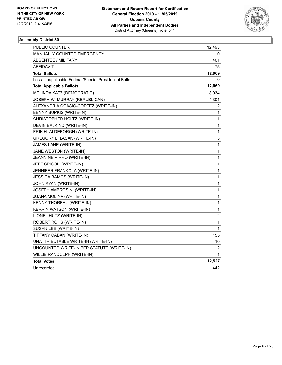

| PUBLIC COUNTER                                           | 12,493 |
|----------------------------------------------------------|--------|
| MANUALLY COUNTED EMERGENCY                               | 0      |
| ABSENTEE / MILITARY                                      | 401    |
| <b>AFFIDAVIT</b>                                         | 75     |
| <b>Total Ballots</b>                                     | 12,969 |
| Less - Inapplicable Federal/Special Presidential Ballots | 0      |
| <b>Total Applicable Ballots</b>                          | 12,969 |
| MELINDA KATZ (DEMOCRATIC)                                | 8,034  |
| JOSEPH W. MURRAY (REPUBLICAN)                            | 4,301  |
| ALEXANDRIA OCASIO-CORTEZ (WRITE-IN)                      | 2      |
| <b>BENNY BUPKIS (WRITE-IN)</b>                           | 1      |
| CHRISTOPHER HOLTZ (WRITE-IN)                             | 1      |
| DEVIN BALKIND (WRITE-IN)                                 | 1      |
| ERIK H. ALDEBORGH (WRITE-IN)                             | 1      |
| GREGORY L. LASAK (WRITE-IN)                              | 3      |
| JAMES LANE (WRITE-IN)                                    | 1      |
| JANE WESTON (WRITE-IN)                                   | 1      |
| JEANNINE PIRRO (WRITE-IN)                                | 1      |
| JEFF SPICOLI (WRITE-IN)                                  | 1      |
| JENNIFER FRANKOLA (WRITE-IN)                             | 1      |
| <b>JESSICA RAMOS (WRITE-IN)</b>                          | 1      |
| JOHN RYAN (WRITE-IN)                                     | 1      |
| JOSEPH AMBROSINI (WRITE-IN)                              | 1      |
| JUANA MOLINA (WRITE-IN)                                  | 1      |
| KENNY THOREAU (WRITE-IN)                                 | 1      |
| <b>KERRIN WATSON (WRITE-IN)</b>                          | 1      |
| LIONEL HUTZ (WRITE-IN)                                   | 2      |
| ROBERT ROHS (WRITE-IN)                                   | 1      |
| SUSAN LEE (WRITE-IN)                                     | 1      |
| TIFFANY CABAN (WRITE-IN)                                 | 155    |
| UNATTRIBUTABLE WRITE-IN (WRITE-IN)                       | 10     |
| UNCOUNTED WRITE-IN PER STATUTE (WRITE-IN)                | 2      |
| WILLIE RANDOLPH (WRITE-IN)                               | 1      |
| <b>Total Votes</b>                                       | 12,527 |
| Unrecorded                                               | 442    |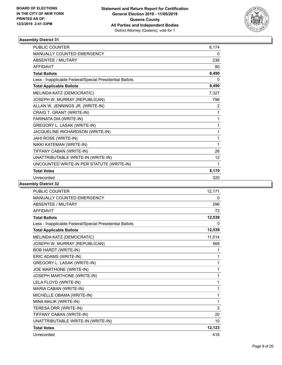

| <b>PUBLIC COUNTER</b>                                    | 8,174 |
|----------------------------------------------------------|-------|
| MANUALLY COUNTED EMERGENCY                               | 0     |
| <b>ABSENTEE / MILITARY</b>                               | 236   |
| <b>AFFIDAVIT</b>                                         | 80    |
| <b>Total Ballots</b>                                     | 8,490 |
| Less - Inapplicable Federal/Special Presidential Ballots | 0     |
| <b>Total Applicable Ballots</b>                          | 8,490 |
| MELINDA KATZ (DEMOCRATIC)                                | 7,327 |
| JOSEPH W. MURRAY (REPUBLICAN)                            | 796   |
| ALLAN W. JENNINGS JR. (WRITE-IN)                         | 2     |
| CRAIG T. GRANT (WRITE-IN)                                | 1     |
| FARINATA DIA (WRITE-IN)                                  | 1     |
| GREGORY L. LASAK (WRITE-IN)                              | 1     |
| JACQUELINE RICHARDSON (WRITE-IN)                         | 1     |
| JAHI ROSE (WRITE-IN)                                     | 1     |
| NIKKI KATEMAN (WRITE-IN)                                 | 1     |
| TIFFANY CABAN (WRITE-IN)                                 | 26    |
| UNATTRIBUTABLE WRITE-IN (WRITE-IN)                       | 12    |
| UNCOUNTED WRITE-IN PER STATUTE (WRITE-IN)                | 1     |
| <b>Total Votes</b>                                       | 8,170 |
| Unrecorded                                               | 320   |

| <b>PUBLIC COUNTER</b>                                    | 12,171         |
|----------------------------------------------------------|----------------|
| <b>MANUALLY COUNTED EMERGENCY</b>                        | 0              |
| <b>ABSENTEE / MILITARY</b>                               | 296            |
| <b>AFFIDAVIT</b>                                         | 72             |
| <b>Total Ballots</b>                                     | 12,539         |
| Less - Inapplicable Federal/Special Presidential Ballots | 0              |
| <b>Total Applicable Ballots</b>                          | 12,539         |
| MELINDA KATZ (DEMOCRATIC)                                | 11,514         |
| JOSEPH W. MURRAY (REPUBLICAN)                            | 568            |
| <b>BOB HARDT (WRITE-IN)</b>                              | 1              |
| ERIC ADAMS (WRITE-IN)                                    | 1              |
| GREGORY L. LASAK (WRITE-IN)                              | $\mathbf{1}$   |
| JOE MARTHONE (WRITE-IN)                                  | 1              |
| JOSEPH MARTHONE (WRITE-IN)                               | 1              |
| LELA FLOYD (WRITE-IN)                                    | 1              |
| MARIA CABAN (WRITE-IN)                                   | 1              |
| MICHELLE OBAMA (WRITE-IN)                                | $\mathbf{1}$   |
| MINA MALIK (WRITE-IN)                                    | 1              |
| TERESA ORR (WRITE-IN)                                    | $\overline{2}$ |
| TIFFANY CABAN (WRITE-IN)                                 | 20             |
| UNATTRIBUTABLE WRITE-IN (WRITE-IN)                       | 10             |
| <b>Total Votes</b>                                       | 12,123         |
| Unrecorded                                               | 416            |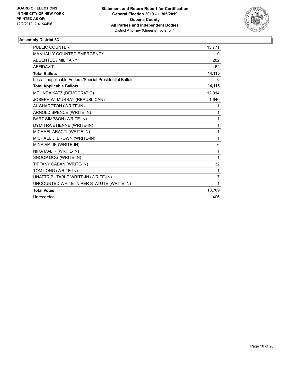

| <b>PUBLIC COUNTER</b>                                    | 13,771       |
|----------------------------------------------------------|--------------|
| <b>MANUALLY COUNTED EMERGENCY</b>                        | 0            |
| <b>ABSENTEE / MILITARY</b>                               | 282          |
| <b>AFFIDAVIT</b>                                         | 62           |
| <b>Total Ballots</b>                                     | 14,115       |
| Less - Inapplicable Federal/Special Presidential Ballots | 0            |
| <b>Total Applicable Ballots</b>                          | 14,115       |
| MELINDA KATZ (DEMOCRATIC)                                | 12,014       |
| JOSEPH W. MURRAY (REPUBLICAN)                            | 1,640        |
| AL SHARPTON (WRITE-IN)                                   | 1            |
| ARNOLD SPENCE (WRITE-IN)                                 | 1            |
| <b>BART SIMPSON (WRITE-IN)</b>                           | 1            |
| DYMITRA ETIENNE (WRITE-IN)                               | 1            |
| MICHAEL ARACTI (WRITE-IN)                                | 1            |
| MICHAEL J. BROWN (WRITE-IN)                              | 1            |
| MINA MALIK (WRITE-IN)                                    | 6            |
| NIRA MALIK (WRITE-IN)                                    | 1            |
| SNOOP DOG (WRITE-IN)                                     | 1            |
| TIFFANY CABAN (WRITE-IN)                                 | 32           |
| TOM LONG (WRITE-IN)                                      | $\mathbf{1}$ |
| UNATTRIBUTABLE WRITE-IN (WRITE-IN)                       | 7            |
| UNCOUNTED WRITE-IN PER STATUTE (WRITE-IN)                | 1            |
| <b>Total Votes</b>                                       | 13,709       |
| Unrecorded                                               | 406          |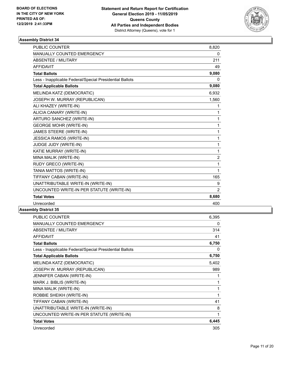

| <b>PUBLIC COUNTER</b>                                    | 8,820          |
|----------------------------------------------------------|----------------|
| <b>MANUALLY COUNTED EMERGENCY</b>                        | 0              |
| <b>ABSENTEE / MILITARY</b>                               | 211            |
| <b>AFFIDAVIT</b>                                         | 49             |
| <b>Total Ballots</b>                                     | 9,080          |
| Less - Inapplicable Federal/Special Presidential Ballots | 0              |
| <b>Total Applicable Ballots</b>                          | 9,080          |
| MELINDA KATZ (DEMOCRATIC)                                | 6,932          |
| JOSEPH W. MURRAY (REPUBLICAN)                            | 1,560          |
| ALI KHAZEY (WRITE-IN)                                    | 1              |
| ALICIA CANARY (WRITE-IN)                                 | 1              |
| ARTURO SANCHEZ (WRITE-IN)                                | 1              |
| <b>GEORGE MOHR (WRITE-IN)</b>                            | 1              |
| JAMES STEERE (WRITE-IN)                                  | 1              |
| <b>JESSICA RAMOS (WRITE-IN)</b>                          | 1              |
| JUDGE JUDY (WRITE-IN)                                    | 1              |
| KATIE MURRAY (WRITE-IN)                                  | 1              |
| MINA MALIK (WRITE-IN)                                    | $\overline{2}$ |
| RUDY GRECO (WRITE-IN)                                    | 1              |
| TANIA MATTOS (WRITE-IN)                                  | 1              |
| TIFFANY CABAN (WRITE-IN)                                 | 165            |
| UNATTRIBUTABLE WRITE-IN (WRITE-IN)                       | 9              |
| UNCOUNTED WRITE-IN PER STATUTE (WRITE-IN)                | $\overline{2}$ |
| <b>Total Votes</b>                                       | 8,680          |
| Unrecorded                                               | 400            |

| <b>MANUALLY COUNTED EMERGENCY</b><br><b>ABSENTEE / MILITARY</b><br><b>AFFIDAVIT</b><br><b>Total Ballots</b><br>Less - Inapplicable Federal/Special Presidential Ballots<br><b>Total Applicable Ballots</b><br>MELINDA KATZ (DEMOCRATIC)<br>JOSEPH W. MURRAY (REPUBLICAN)<br>JENNIFER CABAN (WRITE-IN)<br>MARK J. BIBLIS (WRITE-IN)<br>MINA MALIK (WRITE-IN)<br>ROBBIE SHEIKH (WRITE-IN)<br>TIFFANY CABAN (WRITE-IN)<br>UNATTRIBUTABLE WRITE-IN (WRITE-IN)<br>UNCOUNTED WRITE-IN PER STATUTE (WRITE-IN)<br><b>Total Votes</b><br>Unrecorded | PUBLIC COUNTER | 6,395 |
|--------------------------------------------------------------------------------------------------------------------------------------------------------------------------------------------------------------------------------------------------------------------------------------------------------------------------------------------------------------------------------------------------------------------------------------------------------------------------------------------------------------------------------------------|----------------|-------|
|                                                                                                                                                                                                                                                                                                                                                                                                                                                                                                                                            |                | 0     |
|                                                                                                                                                                                                                                                                                                                                                                                                                                                                                                                                            |                | 314   |
|                                                                                                                                                                                                                                                                                                                                                                                                                                                                                                                                            |                | 41    |
|                                                                                                                                                                                                                                                                                                                                                                                                                                                                                                                                            |                | 6,750 |
|                                                                                                                                                                                                                                                                                                                                                                                                                                                                                                                                            |                | 0     |
|                                                                                                                                                                                                                                                                                                                                                                                                                                                                                                                                            |                | 6,750 |
|                                                                                                                                                                                                                                                                                                                                                                                                                                                                                                                                            |                | 5,402 |
|                                                                                                                                                                                                                                                                                                                                                                                                                                                                                                                                            |                | 989   |
|                                                                                                                                                                                                                                                                                                                                                                                                                                                                                                                                            |                | 1     |
|                                                                                                                                                                                                                                                                                                                                                                                                                                                                                                                                            |                | 1     |
|                                                                                                                                                                                                                                                                                                                                                                                                                                                                                                                                            |                | 1     |
|                                                                                                                                                                                                                                                                                                                                                                                                                                                                                                                                            |                | 1     |
|                                                                                                                                                                                                                                                                                                                                                                                                                                                                                                                                            |                | 41    |
|                                                                                                                                                                                                                                                                                                                                                                                                                                                                                                                                            |                | 8     |
|                                                                                                                                                                                                                                                                                                                                                                                                                                                                                                                                            |                | 1     |
|                                                                                                                                                                                                                                                                                                                                                                                                                                                                                                                                            |                | 6,445 |
|                                                                                                                                                                                                                                                                                                                                                                                                                                                                                                                                            |                | 305   |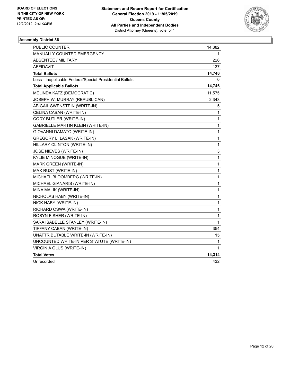

| <b>PUBLIC COUNTER</b>                                    | 14,382       |
|----------------------------------------------------------|--------------|
| MANUALLY COUNTED EMERGENCY                               | 1            |
| <b>ABSENTEE / MILITARY</b>                               | 226          |
| <b>AFFIDAVIT</b>                                         | 137          |
| <b>Total Ballots</b>                                     | 14,746       |
| Less - Inapplicable Federal/Special Presidential Ballots | 0            |
| <b>Total Applicable Ballots</b>                          | 14,746       |
| MELINDA KATZ (DEMOCRATIC)                                | 11,575       |
| JOSEPH W. MURRAY (REPUBLICAN)                            | 2,343        |
| ABIGAIL SWENSTEIN (WRITE-IN)                             | 5            |
| CELINA CABAN (WRITE-IN)                                  | 1            |
| CODY BUTLER (WRITE-IN)                                   | 1            |
| <b>GABRIELLE MARTIN KLEIN (WRITE-IN)</b>                 | $\mathbf{1}$ |
| GIOVANNI DAMATO (WRITE-IN)                               | $\mathbf{1}$ |
| GREGORY L. LASAK (WRITE-IN)                              | 1            |
| HILLARY CLINTON (WRITE-IN)                               | $\mathbf{1}$ |
| JOSE NIEVES (WRITE-IN)                                   | 3            |
| KYLIE MINOGUE (WRITE-IN)                                 | $\mathbf{1}$ |
| MARK GREEN (WRITE-IN)                                    | 1            |
| MAX RUST (WRITE-IN)                                      | 1            |
| MICHAEL BLOOMBERG (WRITE-IN)                             | $\mathbf{1}$ |
| MICHAEL GIANARIS (WRITE-IN)                              | $\mathbf{1}$ |
| MINA MALIK (WRITE-IN)                                    | 1            |
| NICHOLAS HABY (WRITE-IN)                                 | 1            |
| NICK HABY (WRITE-IN)                                     | 1            |
| RICHARD OSWA (WRITE-IN)                                  | $\mathbf{1}$ |
| ROBYN FISHER (WRITE-IN)                                  | $\mathbf{1}$ |
| SARA ISABELLE STANLEY (WRITE-IN)                         | 1            |
| TIFFANY CABAN (WRITE-IN)                                 | 354          |
| UNATTRIBUTABLE WRITE-IN (WRITE-IN)                       | 15           |
| UNCOUNTED WRITE-IN PER STATUTE (WRITE-IN)                | 1            |
| VIRGINIA GLUS (WRITE-IN)                                 | 1            |
| <b>Total Votes</b>                                       | 14,314       |
| Unrecorded                                               | 432          |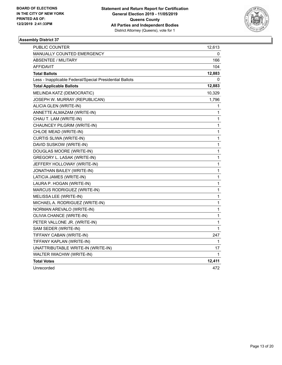

| PUBLIC COUNTER                                           | 12,613       |
|----------------------------------------------------------|--------------|
| MANUALLY COUNTED EMERGENCY                               | 0            |
| ABSENTEE / MILITARY                                      | 166          |
| <b>AFFIDAVIT</b>                                         | 104          |
| <b>Total Ballots</b>                                     | 12,883       |
| Less - Inapplicable Federal/Special Presidential Ballots | 0            |
| <b>Total Applicable Ballots</b>                          | 12,883       |
| MELINDA KATZ (DEMOCRATIC)                                | 10,329       |
| JOSEPH W. MURRAY (REPUBLICAN)                            | 1,796        |
| ALICIA GLEN (WRITE-IN)                                   | 1            |
| ANNETTE ALMAZAM (WRITE-IN)                               | 1            |
| CHAU T. LAM (WRITE-IN)                                   | 1            |
| CHAUNCEY PILGRIM (WRITE-IN)                              | 1            |
| CHLOE MEAD (WRITE-IN)                                    | 1            |
| CURTIS SLIWA (WRITE-IN)                                  | 1            |
| DAVID SUSKOW (WRITE-IN)                                  | 1            |
| DOUGLAS MOORE (WRITE-IN)                                 | 1            |
| GREGORY L. LASAK (WRITE-IN)                              | 1            |
| JEFFERY HOLLOWAY (WRITE-IN)                              | 1            |
| JONATHAN BAILEY (WRITE-IN)                               | 1            |
| LATICIA JAMES (WRITE-IN)                                 | 1            |
| LAURA P. HOGAN (WRITE-IN)                                | $\mathbf{1}$ |
| MARCUS RODRIGUEZ (WRITE-IN)                              | 1            |
| MELISSA LEE (WRITE-IN)                                   | 1            |
| MICHAEL A. RODRIGUEZ (WRITE-IN)                          | 1            |
| NORMAN AREVALO (WRITE-IN)                                | 1            |
| OLIVIA CHANCE (WRITE-IN)                                 | 1            |
| PETER VALLONE JR. (WRITE-IN)                             | 1            |
| SAM SEDER (WRITE-IN)                                     | 1            |
| TIFFANY CABAN (WRITE-IN)                                 | 247          |
| TIFFANY KAPLAN (WRITE-IN)                                | 1            |
| UNATTRIBUTABLE WRITE-IN (WRITE-IN)                       | 17           |
| WALTER IWACHIW (WRITE-IN)                                | 1            |
| <b>Total Votes</b>                                       | 12,411       |
| Unrecorded                                               | 472          |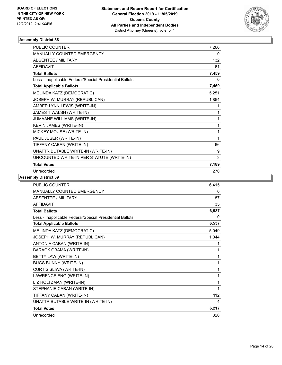

| <b>PUBLIC COUNTER</b>                                    | 7,266 |
|----------------------------------------------------------|-------|
| <b>MANUALLY COUNTED EMERGENCY</b>                        | 0     |
| <b>ABSENTEE / MILITARY</b>                               | 132   |
| <b>AFFIDAVIT</b>                                         | 61    |
| <b>Total Ballots</b>                                     | 7,459 |
| Less - Inapplicable Federal/Special Presidential Ballots | 0     |
| <b>Total Applicable Ballots</b>                          | 7,459 |
| MELINDA KATZ (DEMOCRATIC)                                | 5,251 |
| JOSEPH W. MURRAY (REPUBLICAN)                            | 1,854 |
| AMBER LYNN LEWIS (WRITE-IN)                              | 1     |
| JAMES T WALSH (WRITE-IN)                                 | 1     |
| JUMAANE WILLIAMS (WRITE-IN)                              | 1     |
| KEVIN JAMES (WRITE-IN)                                   | 1     |
| MICKEY MOUSE (WRITE-IN)                                  | 1     |
| PAUL JUSER (WRITE-IN)                                    | 1     |
| TIFFANY CABAN (WRITE-IN)                                 | 66    |
| UNATTRIBUTABLE WRITE-IN (WRITE-IN)                       | 9     |
| UNCOUNTED WRITE-IN PER STATUTE (WRITE-IN)                | 3     |
| <b>Total Votes</b>                                       | 7,189 |
| Unrecorded                                               | 270   |

| <b>PUBLIC COUNTER</b>                                    | 6,415 |
|----------------------------------------------------------|-------|
| MANUALLY COUNTED EMERGENCY                               | 0     |
| <b>ABSENTEE / MILITARY</b>                               | 87    |
| <b>AFFIDAVIT</b>                                         | 35    |
| <b>Total Ballots</b>                                     | 6,537 |
| Less - Inapplicable Federal/Special Presidential Ballots | 0     |
| <b>Total Applicable Ballots</b>                          | 6,537 |
| MELINDA KATZ (DEMOCRATIC)                                | 5,049 |
| JOSEPH W. MURRAY (REPUBLICAN)                            | 1,044 |
| ANTONIA CABAN (WRITE-IN)                                 | 1     |
| <b>BARACK OBAMA (WRITE-IN)</b>                           | 1     |
| BETTY LAW (WRITE-IN)                                     | 1     |
| <b>BUGS BUNNY (WRITE-IN)</b>                             | 1     |
| CURTIS SLIWA (WRITE-IN)                                  | 1     |
| LAWRENCE ENG (WRITE-IN)                                  | 1     |
| LIZ HOLTZMAN (WRITE-IN)                                  | 1     |
| STEPHANIE CABAN (WRITE-IN)                               | 1     |
| TIFFANY CABAN (WRITE-IN)                                 | 112   |
| UNATTRIBUTABLE WRITE-IN (WRITE-IN)                       | 4     |
| <b>Total Votes</b>                                       | 6,217 |
| Unrecorded                                               | 320   |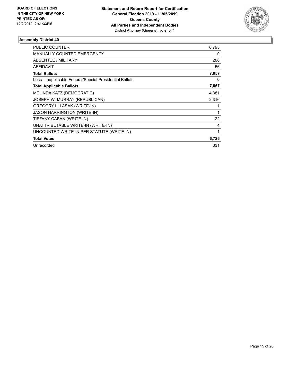

| PUBLIC COUNTER                                           | 6,793 |
|----------------------------------------------------------|-------|
| <b>MANUALLY COUNTED EMERGENCY</b>                        | 0     |
| <b>ABSENTEE / MILITARY</b>                               | 208   |
| <b>AFFIDAVIT</b>                                         | 56    |
| <b>Total Ballots</b>                                     | 7,057 |
| Less - Inapplicable Federal/Special Presidential Ballots | 0     |
| <b>Total Applicable Ballots</b>                          | 7,057 |
| MELINDA KATZ (DEMOCRATIC)                                | 4,381 |
| JOSEPH W. MURRAY (REPUBLICAN)                            | 2,316 |
| GREGORY L. LASAK (WRITE-IN)                              |       |
| <b>JASON HARRINGTON (WRITE-IN)</b>                       |       |
| TIFFANY CABAN (WRITE-IN)                                 | 22    |
| UNATTRIBUTABLE WRITE-IN (WRITE-IN)                       | 4     |
| UNCOUNTED WRITE-IN PER STATUTE (WRITE-IN)                | 1     |
| <b>Total Votes</b>                                       | 6,726 |
| Unrecorded                                               | 331   |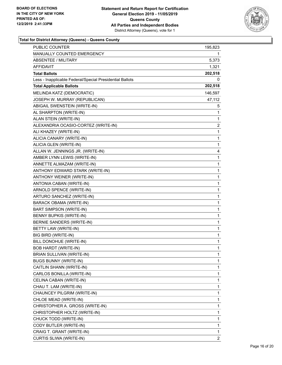

| PUBLIC COUNTER                                           | 195,823        |
|----------------------------------------------------------|----------------|
| MANUALLY COUNTED EMERGENCY                               | 1.             |
| <b>ABSENTEE / MILITARY</b>                               | 5,373          |
| AFFIDAVIT                                                | 1,321          |
| <b>Total Ballots</b>                                     | 202,518        |
| Less - Inapplicable Federal/Special Presidential Ballots | 0              |
| <b>Total Applicable Ballots</b>                          | 202,518        |
| MELINDA KATZ (DEMOCRATIC)                                | 146,597        |
| JOSEPH W. MURRAY (REPUBLICAN)                            | 47,112         |
| ABIGAIL SWENSTEIN (WRITE-IN)                             | 5              |
| AL SHARPTON (WRITE-IN)                                   | 1              |
| ALAN STEIN (WRITE-IN)                                    | 1              |
| ALEXANDRIA OCASIO-CORTEZ (WRITE-IN)                      | 2              |
| ALI KHAZEY (WRITE-IN)                                    | 1              |
| ALICIA CANARY (WRITE-IN)                                 | 1              |
| ALICIA GLEN (WRITE-IN)                                   | 1              |
| ALLAN W. JENNINGS JR. (WRITE-IN)                         | 4              |
| AMBER LYNN LEWIS (WRITE-IN)                              | 1              |
| ANNETTE ALMAZAM (WRITE-IN)                               | 1              |
| ANTHONY EDWARD STARK (WRITE-IN)                          | 1              |
| ANTHONY WEINER (WRITE-IN)                                | 1              |
| ANTONIA CABAN (WRITE-IN)                                 | 1              |
| ARNOLD SPENCE (WRITE-IN)                                 | 1              |
| ARTURO SANCHEZ (WRITE-IN)                                | 1              |
| <b>BARACK OBAMA (WRITE-IN)</b>                           | 1              |
| BART SIMPSON (WRITE-IN)                                  | 1              |
| BENNY BUPKIS (WRITE-IN)                                  | 1              |
| BERNIE SANDERS (WRITE-IN)                                | 1              |
| BETTY LAW (WRITE-IN)                                     | 1              |
| <b>BIG BIRD (WRITE-IN)</b>                               | 1              |
| BILL DONOHUE (WRITE-IN)                                  | 1              |
| <b>BOB HARDT (WRITE-IN)</b>                              | $\mathbf{1}$   |
| BRIAN SULLIVAN (WRITE-IN)                                | 1              |
| <b>BUGS BUNNY (WRITE-IN)</b>                             | 1              |
| CAITLIN SHANN (WRITE-IN)                                 | 1              |
| CARLOS BONILLA (WRITE-IN)                                | 1              |
| CELINA CABAN (WRITE-IN)                                  | 1              |
| CHAU T. LAM (WRITE-IN)                                   | 1              |
| CHAUNCEY PILGRIM (WRITE-IN)                              | 1              |
| CHLOE MEAD (WRITE-IN)                                    | 1              |
| CHRISTOPHER A. GROSS (WRITE-IN)                          | 1              |
| CHRISTOPHER HOLTZ (WRITE-IN)                             | 1              |
| CHUCK TODD (WRITE-IN)                                    | 1              |
| CODY BUTLER (WRITE-IN)                                   | 1              |
| CRAIG T. GRANT (WRITE-IN)                                | 1              |
| CURTIS SLIWA (WRITE-IN)                                  | $\overline{2}$ |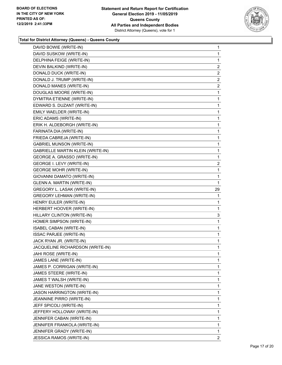

| 1              |
|----------------|
| 1              |
| 1              |
| $\overline{2}$ |
| 2              |
| 2              |
| $\overline{2}$ |
| 1              |
| $\mathbf{1}$   |
| 1              |
| 1              |
| 1              |
| 1              |
| 1              |
| $\mathbf{1}$   |
| 1              |
| 1              |
| 1              |
| $\overline{2}$ |
| 1              |
| $\mathbf{1}$   |
| 1              |
| 29             |
| 1              |
| 1              |
| 1              |
|                |
| 3              |
| 1              |
| 1              |
| $\mathbf{1}$   |
| 1              |
| 1              |
| 1              |
| 1              |
| 1              |
| 1              |
| 1              |
| 1              |
| 1              |
| 1              |
| 1              |
| 1              |
| 1              |
| 1              |
| 1              |
|                |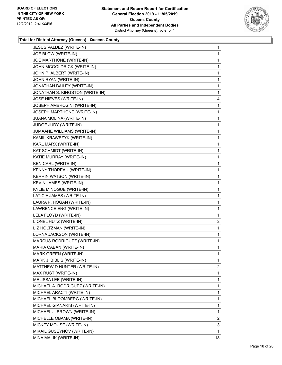

| JESUS VALDEZ (WRITE-IN)         | 1              |
|---------------------------------|----------------|
| JOE BLOW (WRITE-IN)             | $\mathbf{1}$   |
| JOE MARTHONE (WRITE-IN)         | 1              |
| JOHN MCGOLDRICK (WRITE-IN)      | $\mathbf{1}$   |
| JOHN P. ALBERT (WRITE-IN)       | 1              |
| JOHN RYAN (WRITE-IN)            | 1              |
| JONATHAN BAILEY (WRITE-IN)      | 1              |
| JONATHAN S. KINGSTON (WRITE-IN) | 1              |
| JOSE NIEVES (WRITE-IN)          | 4              |
| JOSEPH AMBROSINI (WRITE-IN)     | $\mathbf{1}$   |
| JOSEPH MARTHONE (WRITE-IN)      | 1              |
| JUANA MOLINA (WRITE-IN)         | 1              |
| JUDGE JUDY (WRITE-IN)           | 1              |
| JUMAANE WILLIAMS (WRITE-IN)     | $\mathbf{1}$   |
| KAMIL KRAWEZYK (WRITE-IN)       | 1              |
| KARL MARX (WRITE-IN)            | $\mathbf{1}$   |
| KAT SCHMIDT (WRITE-IN)          | 1              |
| KATIE MURRAY (WRITE-IN)         | 1              |
| KEN CARL (WRITE-IN)             | 1              |
| KENNY THOREAU (WRITE-IN)        | $\mathbf{1}$   |
| KERRIN WATSON (WRITE-IN)        | 1              |
| KEVIN JAMES (WRITE-IN)          | $\mathbf{1}$   |
| KYLIE MINOGUE (WRITE-IN)        | $\mathbf{1}$   |
| LATICIA JAMES (WRITE-IN)        | 1              |
| LAURA P. HOGAN (WRITE-IN)       | 1              |
| LAWRENCE ENG (WRITE-IN)         | 1              |
| LELA FLOYD (WRITE-IN)           | 1              |
| LIONEL HUTZ (WRITE-IN)          | 2              |
| LIZ HOLTZMAN (WRITE-IN)         | $\mathbf{1}$   |
| LORNA JACKSON (WRITE-IN)        | $\mathbf{1}$   |
| MARCUS RODRIGUEZ (WRITE-IN)     | 1              |
| MARIA CABAN (WRITE-IN)          | 1              |
| <b>MARK GREEN (WRITE-IN)</b>    | 1              |
| MARK J. BIBLIS (WRITE-IN)       | 1              |
| MATTHEW D HUNTER (WRITE-IN)     | $\overline{2}$ |
| MAX RUST (WRITE-IN)             | 1              |
| MELISSA LEE (WRITE-IN)          | 1              |
| MICHAEL A. RODRIGUEZ (WRITE-IN) | 1              |
| MICHAEL ARACTI (WRITE-IN)       | 1              |
| MICHAEL BLOOMBERG (WRITE-IN)    | 1              |
| MICHAEL GIANARIS (WRITE-IN)     | 1              |
| MICHAEL J. BROWN (WRITE-IN)     | $\mathbf{1}$   |
| MICHELLE OBAMA (WRITE-IN)       | 2              |
| MICKEY MOUSE (WRITE-IN)         | 3              |
| MIKAIL GUSEYNOV (WRITE-IN)      | 1              |
| MINA MALIK (WRITE-IN)           | 18             |
|                                 |                |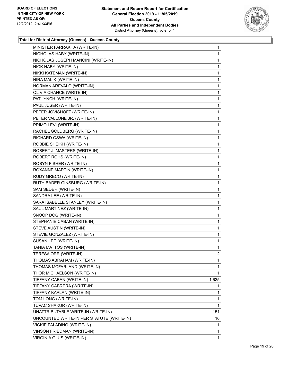

| MINISTER FARRAKHA (WRITE-IN)              | 1            |
|-------------------------------------------|--------------|
| NICHOLAS HABY (WRITE-IN)                  | 1            |
| NICHOLAS JOSEPH MANCINI (WRITE-IN)        | 1            |
| NICK HABY (WRITE-IN)                      | 1            |
| NIKKI KATEMAN (WRITE-IN)                  | 1            |
| NIRA MALIK (WRITE-IN)                     | 1            |
| NORMAN AREVALO (WRITE-IN)                 | 1            |
| OLIVIA CHANCE (WRITE-IN)                  | 1            |
| PAT LYNCH (WRITE-IN)                      | 1            |
| PAUL JUSER (WRITE-IN)                     | 1            |
| PETER JOVISHOFF (WRITE-IN)                | 1            |
| PETER VALLONE JR. (WRITE-IN)              | 1            |
| PRIMO LEVI (WRITE-IN)                     | 1            |
| RACHEL GOLDBERG (WRITE-IN)                | 1            |
| RICHARD OSWA (WRITE-IN)                   | 1            |
| ROBBIE SHEIKH (WRITE-IN)                  | 1            |
| ROBERT J. MASTERS (WRITE-IN)              | 1            |
| ROBERT ROHS (WRITE-IN)                    | 1            |
| ROBYN FISHER (WRITE-IN)                   | 1            |
| ROXANNE MARTIN (WRITE-IN)                 | 1            |
| RUDY GRECO (WRITE-IN)                     | 1            |
| RUTH BADER GINSBURG (WRITE-IN)            | 1            |
| SAM SEDER (WRITE-IN)                      | 1            |
| SANDRA LEE (WRITE-IN)                     | 1            |
| SARA ISABELLE STANLEY (WRITE-IN)          | 1            |
| SAUL MARTINEZ (WRITE-IN)                  | 1            |
| SNOOP DOG (WRITE-IN)                      | 1            |
| STEPHANIE CABAN (WRITE-IN)                | 1            |
| STEVE AUSTIN (WRITE-IN)                   | 1            |
| STEVIE GONZALEZ (WRITE-IN)                | 1            |
| SUSAN LEE (WRITE-IN)                      | 1            |
| TANIA MATTOS (WRITE-IN)                   | $\mathbf{1}$ |
| TERESA ORR (WRITE-IN)                     | 2            |
| THOMAS ABRAHAM (WRITE-IN)                 | 1            |
| THOMAS MCFARLAND (WRITE-IN)               | 1            |
| THOR MICHAELSON (WRITE-IN)                | 1            |
| TIFFANY CABAN (WRITE-IN)                  | 1,625        |
| TIFFANY CABRERA (WRITE-IN)                | 1            |
| TIFFANY KAPLAN (WRITE-IN)                 | 1            |
| TOM LONG (WRITE-IN)                       | 1            |
| TUPAC SHAKUR (WRITE-IN)                   | 1            |
| UNATTRIBUTABLE WRITE-IN (WRITE-IN)        | 151          |
| UNCOUNTED WRITE-IN PER STATUTE (WRITE-IN) | 16           |
| VICKIE PALADINO (WRITE-IN)                | 1            |
| VINSON FRIEDMAN (WRITE-IN)                | 1            |
| VIRGINIA GLUS (WRITE-IN)                  | 1            |
|                                           |              |